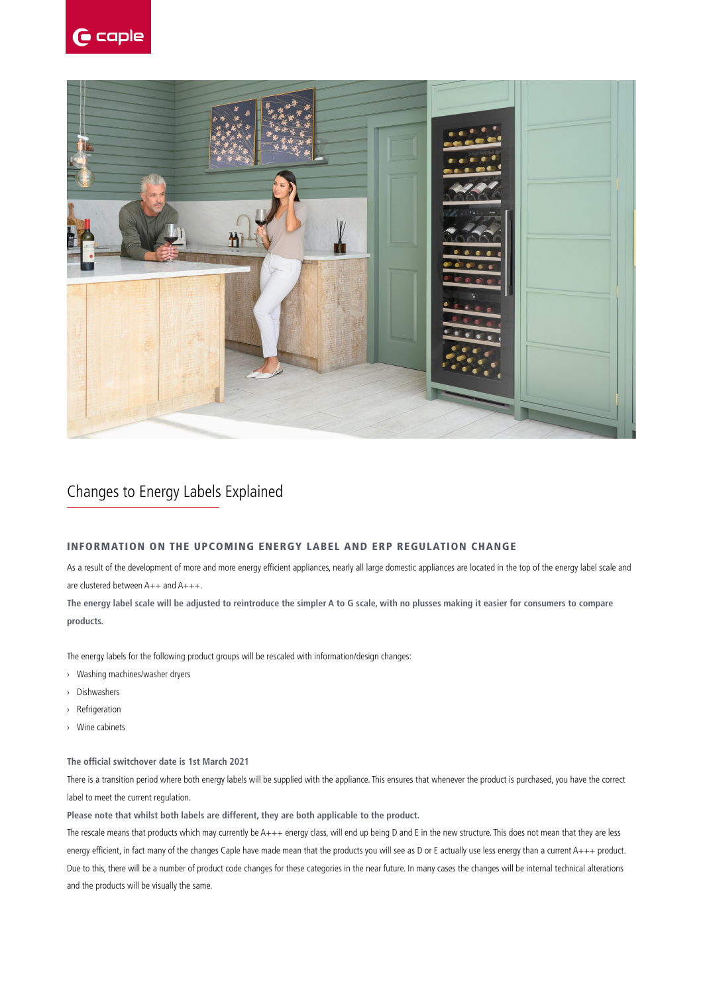



### Changes to Energy Labels Explained

#### INFORMATION ON THE UPCOMING ENERGY LABEL AND ERP REGULATION CHANGE

As a result of the development of more and more energy efficient appliances, nearly all large domestic appliances are located in the top of the energy label scale and are clustered between A++ and A+++.

**The energy label scale will be adjusted to reintroduce the simpler A to G scale, with no plusses making it easier for consumers to compare products.**

The energy labels for the following product groups will be rescaled with information/design changes:

- › Washing machines/washer dryers
- › Dishwashers
- › Refrigeration
- › Wine cabinets

#### **The official switchover date is 1st March 2021**

There is a transition period where both energy labels will be supplied with the appliance. This ensures that whenever the product is purchased, you have the correct label to meet the current regulation.

**Please note that whilst both labels are different, they are both applicable to the product.** 

The rescale means that products which may currently be A+++ energy class, will end up being D and E in the new structure. This does not mean that they are less energy efficient, in fact many of the changes Caple have made mean that the products you will see as D or E actually use less energy than a current A+++ product. Due to this, there will be a number of product code changes for these categories in the near future. In many cases the changes will be internal technical alterations and the products will be visually the same.